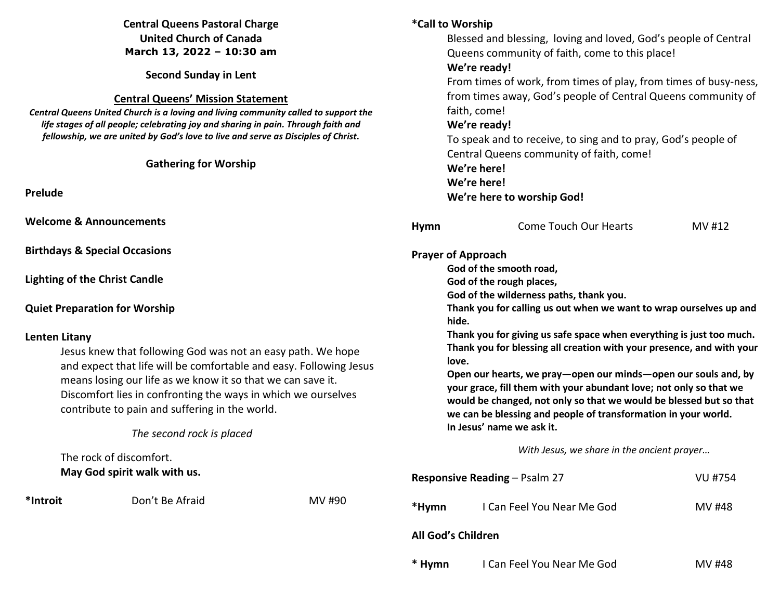# **Central Queens Pastoral Charge United Church of Canada March 13, 2022 – 10:30 am**

**Second Sunday in Lent** 

#### **Central Queens' Mission Statement**

 *Central Queens United Church is a loving and living community called to support the life stages of all people; celebrating joy and sharing in pain. Through faith and fellowship, we are united by God's love to live and serve as Disciples of Christ***.** 

## **Gathering for Worship**

**Prelude** 

**Welcome & Announcements** 

**Birthdays & Special Occasions** 

**Lighting of the Christ Candle** 

#### **Quiet Preparation for Worship**

#### **Lenten Litany**

 Jesus knew that following God was not an easy path. We hope and expect that life will be comfortable and easy. Following Jesus means losing our life as we know it so that we can save it. Discomfort lies in confronting the ways in which we ourselves contribute to pain and suffering in the world.

# *The second rock is placed*

 The rock of discomfort.  **May God spirit walk with us.** 

\*Introit **Don't Be Afraid MV #90** 

# **\*Call to Worship**

Blessed and blessing, loving and loved, God's people of Central Queens community of faith, come to this place!

#### **We're ready!**

 From times of work, from times of play, from times of busy-ness, from times away, God's people of Central Queens community of faith, come!

## **We're ready!**

 To speak and to receive, to sing and to pray, God's people of Central Queens community of faith, come!  **We're here! We're here!** 

## **We're here to worship God!**

| Hymn               | Come Touch Our Hearts | MV #12 |
|--------------------|-----------------------|--------|
| Prayer of Approach |                       |        |

**God of the smooth road,** 

**God of the rough places,** 

**God of the wilderness paths, thank you.** 

**Thank you for calling us out when we want to wrap ourselves up and hide.** 

**Thank you for giving us safe space when everything is just too much. Thank you for blessing all creation with your presence, and with your love.** 

**Open our hearts, we pray—open our minds—open our souls and, by your grace, fill them with your abundant love; not only so that we would be changed, not only so that we would be blessed but so that we can be blessing and people of transformation in your world. In Jesus' name we ask it.** 

*With Jesus, we share in the ancient prayer…* 

| <b>Responsive Reading – Psalm 27</b> |                            | VU #754 |
|--------------------------------------|----------------------------|---------|
| *Hymn                                | I Can Feel You Near Me God | MV #48  |
| All God's Children                   |                            |         |
| * Hymn                               | I Can Feel You Near Me God | MV #48  |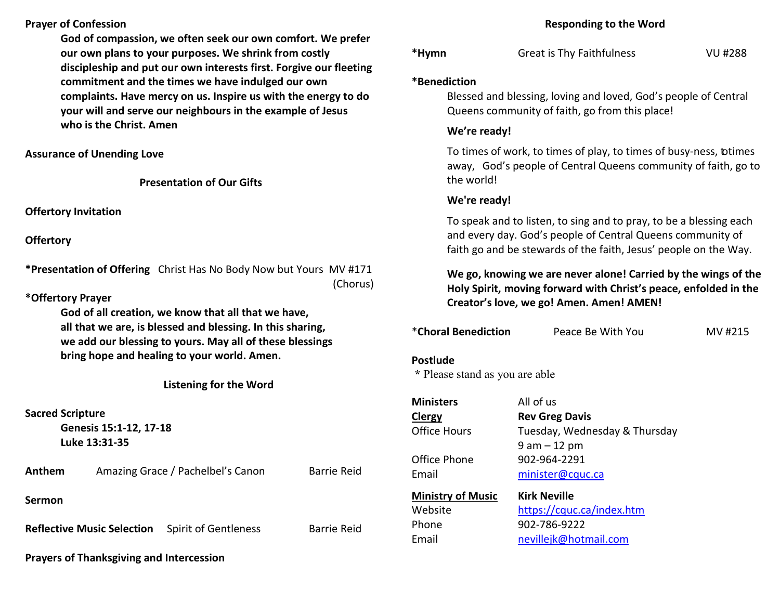## **Prayer of Confession**

**God of compassion, we often seek our own comfort. We prefer our own plans to your purposes. We shrink from costly discipleship and put our own interests first. Forgive our fleeting commitment and the times we have indulged our own complaints. Have mercy on us. Inspire us with the energy to do your will and serve our neighbours in the example of Jesus who is the Christ. Amen** 

#### **Assurance of Unending Love**

**Presentation of Our Gifts**

## **Offertory Invitation**

**Offertory**

**\*Presentation of Offering** Christ Has No Body Now but Yours MV #171 (Chorus)

#### **\*Offertory Prayer**

**God of all creation, we know that all that we have,all that we are, is blessed and blessing. In this sharing, we add our blessing to yours. May all of these blessings bring hope and healing to your world. Amen.** 

## **Listening for the Word**

## **Sacred Scripture**

 **Genesis 15:1-12, 17-18 Luke 13:31-35** 

Anthem Amazing Grace / Pachelbel's Canon Barrie Reid

**Sermon** 

**Reflective Music Selection** Spirit of Gentleness Barrie Reid

**Prayers of Thanksgiving and Intercession** 

#### **Responding to the Word**

| *Hymn | <b>Great is Thy Faithfulness</b> | VU #288 |
|-------|----------------------------------|---------|
|       |                                  |         |

#### **\*Benediction**

 Blessed and blessing, loving and loved, God's people of Central Queens community of faith, go from this place!

## **We're ready!**

To times of work, to times of play, to times of busy-ness, btimes away, God's people of Central Queens community of faith, go to the world!

## **We're ready!**

To speak and to listen, to sing and to pray, to be a blessing each and every day. God's people of Central Queens community of faith go and be stewards of the faith, Jesus' people on the Way.

# **We go, knowing we are never alone! Carried by the wings of the Holy Spirit, moving forward with Christ's peace, enfolded in the Creator's love, we go! Amen. Amen! AMEN!**

| *Choral Benediction                        | Peace Be With You | MV #215 |
|--------------------------------------------|-------------------|---------|
| Postlude<br>* Please stand as you are able |                   |         |

| <b>Ministers</b>         | All of us                     |
|--------------------------|-------------------------------|
| Clergy                   | <b>Rev Greg Davis</b>         |
| <b>Office Hours</b>      | Tuesday, Wednesday & Thursday |
|                          | $9$ am $-12$ pm               |
| Office Phone             | 902-964-2291                  |
| Email                    | minister@cquc.ca              |
| <b>Ministry of Music</b> | <b>Kirk Neville</b>           |
| Website                  | https://cquc.ca/index.htm     |
| Phone                    | 902-786-9222                  |
| Email                    | nevillejk@hotmail.com         |
|                          |                               |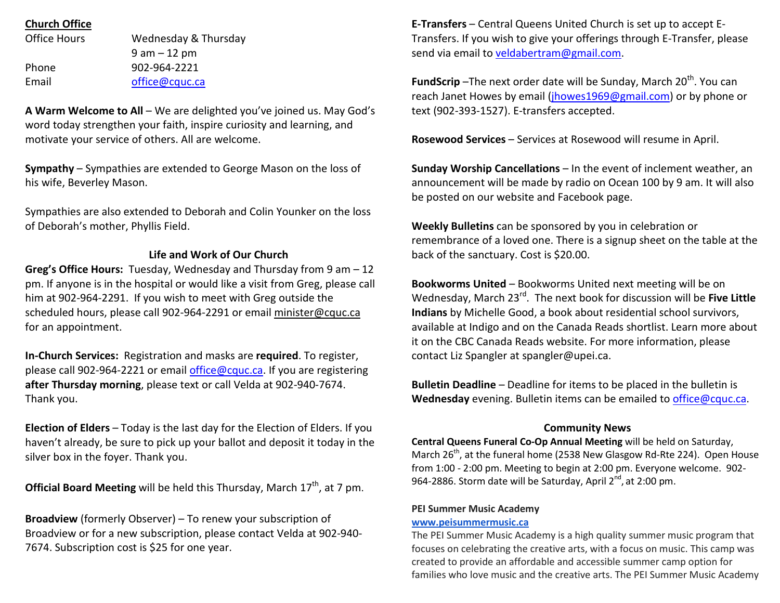## **Church Office**

| Office Hours | Wednesday & Thursday |
|--------------|----------------------|
|              | $9$ am $-12$ pm      |
| Phone        | 902-964-2221         |
| Email        | office@cquc.ca       |

**A Warm Welcome to All** – We are delighted you've joined us. May God's word today strengthen your faith, inspire curiosity and learning, and motivate your service of others. All are welcome.

**Sympathy** – Sympathies are extended to George Mason on the loss of his wife, Beverley Mason.

Sympathies are also extended to Deborah and Colin Younker on the loss of Deborah's mother, Phyllis Field.

#### **Life and Work of Our Church**

**Greg's Office Hours:** Tuesday, Wednesday and Thursday from 9 am – 12 pm. If anyone is in the hospital or would like a visit from Greg, please call him at 902-964-2291. If you wish to meet with Greg outside the scheduled hours, please call 902-964-2291 or email minister@cquc.ca for an appointment.

**In-Church Services:** Registration and masks are **required**. To register, please call 902-964-2221 or email office@cquc.ca. If you are registering **after Thursday morning**, please text or call Velda at 902-940-7674. Thank you.

**Election of Elders** – Today is the last day for the Election of Elders. If you haven't already, be sure to pick up your ballot and deposit it today in the silver box in the foyer. Thank you.

**Official Board Meeting** will be held this Thursday, March 17<sup>th</sup>, at 7 pm.

**Broadview** (formerly Observer) – To renew your subscription of Broadview or for a new subscription, please contact Velda at 902-940-7674. Subscription cost is \$25 for one year.

**E-Transfers** – Central Queens United Church is set up to accept E-Transfers. If you wish to give your offerings through E-Transfer, please send via email to veldabertram@gmail.com.

**FundScrip** –The next order date will be Sunday, March 20<sup>th</sup>. You can reach Janet Howes by email (jhowes1969@gmail.com) or by phone or text (902-393-1527). E-transfers accepted.

**Rosewood Services** – Services at Rosewood will resume in April.

**Sunday Worship Cancellations** – In the event of inclement weather, an announcement will be made by radio on Ocean 100 by 9 am. It will also be posted on our website and Facebook page.

**Weekly Bulletins** can be sponsored by you in celebration or remembrance of a loved one. There is a signup sheet on the table at the back of the sanctuary. Cost is \$20.00.

**Bookworms United** – Bookworms United next meeting will be on Wednesday, March 23rd. The next book for discussion will be **Five Little Indians** by Michelle Good, a book about residential school survivors, available at Indigo and on the Canada Reads shortlist. Learn more about it on the CBC Canada Reads website. For more information, please contact Liz Spangler at spangler@upei.ca.

**Bulletin Deadline** – Deadline for items to be placed in the bulletin is **Wednesday** evening. Bulletin items can be emailed to office@cquc.ca.

#### **Community News**

 **Central Queens Funeral Co-Op Annual Meeting** will be held on Saturday, March 26<sup>th</sup>, at the funeral home (2538 New Glasgow Rd-Rte 224). Open House from 1:00 - 2:00 pm. Meeting to begin at 2:00 pm. Everyone welcome. 902-964-2886. Storm date will be Saturday, April 2<sup>nd</sup>, at 2:00 pm.

#### **PEI Summer Music Academy**

#### **www.peisummermusic.ca**

 The PEI Summer Music Academy is a high quality summer music program that focuses on celebrating the creative arts, with a focus on music. This camp was created to provide an affordable and accessible summer camp option for families who love music and the creative arts. The PEI Summer Music Academy